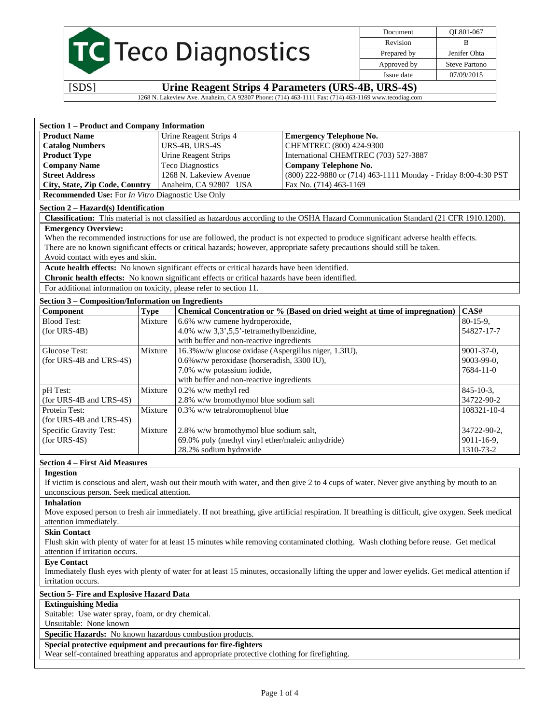|  | <b>TC</b> Teco Diagnostics |
|--|----------------------------|

Document QL801-067 Revision B Prepared by **Jenifer Ohta** Approved by Steve Partono Issue date 07/09/2015

[SDS] **Urine Reagent Strips 4 Parameters (URS-4B, URS-4S)** 

1268 N. Lakeview Ave. Anaheim, CA 92807 Phone: (714) 463-1111 Fax: (714) 463-1169 www.tecodiag.com

| <b>Section 1 - Product and Company Information</b>                  |             |                                                                                                |                                                                                                                                      |                   |  |
|---------------------------------------------------------------------|-------------|------------------------------------------------------------------------------------------------|--------------------------------------------------------------------------------------------------------------------------------------|-------------------|--|
| <b>Product Name</b>                                                 |             | Urine Reagent Strips 4                                                                         | <b>Emergency Telephone No.</b>                                                                                                       |                   |  |
| <b>Catalog Numbers</b>                                              |             | URS-4B, URS-4S                                                                                 | CHEMTREC (800) 424-9300                                                                                                              |                   |  |
| <b>Product Type</b>                                                 |             | <b>Urine Reagent Strips</b>                                                                    | International CHEMTREC (703) 527-3887                                                                                                |                   |  |
| <b>Company Name</b>                                                 |             | <b>Teco Diagnostics</b>                                                                        | <b>Company Telephone No.</b>                                                                                                         |                   |  |
| <b>Street Address</b>                                               |             | 1268 N. Lakeview Avenue                                                                        | (800) 222-9880 or (714) 463-1111 Monday - Friday 8:00-4:30 PST                                                                       |                   |  |
| City, State, Zip Code, Country                                      |             | Anaheim, CA 92807 USA                                                                          | Fax No. (714) 463-1169                                                                                                               |                   |  |
| <b>Recommended Use:</b> For <i>In Vitro</i> Diagnostic Use Only     |             |                                                                                                |                                                                                                                                      |                   |  |
| Section 2 – Hazard(s) Identification                                |             |                                                                                                |                                                                                                                                      |                   |  |
|                                                                     |             |                                                                                                | Classification: This material is not classified as hazardous according to the OSHA Hazard Communication Standard (21 CFR 1910.1200). |                   |  |
| <b>Emergency Overview:</b>                                          |             |                                                                                                |                                                                                                                                      |                   |  |
|                                                                     |             |                                                                                                | When the recommended instructions for use are followed, the product is not expected to produce significant adverse health effects.   |                   |  |
|                                                                     |             |                                                                                                | There are no known significant effects or critical hazards; however, appropriate safety precautions should still be taken.           |                   |  |
| Avoid contact with eyes and skin.                                   |             |                                                                                                |                                                                                                                                      |                   |  |
|                                                                     |             | Acute health effects: No known significant effects or critical hazards have been identified.   |                                                                                                                                      |                   |  |
|                                                                     |             | Chronic health effects: No known significant effects or critical hazards have been identified. |                                                                                                                                      |                   |  |
| For additional information on toxicity, please refer to section 11. |             |                                                                                                |                                                                                                                                      |                   |  |
| Section 3 - Composition/Information on Ingredients                  |             |                                                                                                |                                                                                                                                      |                   |  |
| Component                                                           | <b>Type</b> |                                                                                                | Chemical Concentration or % (Based on dried weight at time of impregnation)                                                          | CAS#              |  |
| <b>Blood Test:</b>                                                  | Mixture     | 6.6% w/w cumene hydroperoxide,                                                                 |                                                                                                                                      | $80-15-9$ ,       |  |
| $(for URS-4B)$                                                      |             | 4.0% w/w $3,3',5,5'$ -tetramethylbenzidine,                                                    |                                                                                                                                      | 54827-17-7        |  |
|                                                                     |             | with buffer and non-reactive ingredients                                                       |                                                                                                                                      |                   |  |
| <b>Glucose Test:</b>                                                | Mixture     | 16.3% w/w glucose oxidase (Aspergillus niger, 1.3IU),                                          |                                                                                                                                      | 9001-37-0,        |  |
| (for URS-4B and URS-4S)                                             |             | 0.6% w/w peroxidase (horseradish, 3300 IU),                                                    |                                                                                                                                      | 9003-99-0,        |  |
|                                                                     |             | 7.0% w/w potassium iodide,                                                                     |                                                                                                                                      | 7684-11-0         |  |
|                                                                     |             | with buffer and non-reactive ingredients                                                       |                                                                                                                                      |                   |  |
| pH Test:                                                            | Mixture     | 0.2% w/w methyl red                                                                            |                                                                                                                                      | $845 - 10 - 3$ ,  |  |
| (for URS-4B and URS-4S)                                             |             | 2.8% w/w bromothymol blue sodium salt                                                          |                                                                                                                                      | 34722-90-2        |  |
| Protein Test:                                                       | Mixture     | 0.3% w/w tetrabromophenol blue                                                                 |                                                                                                                                      | $108321 - 10 - 4$ |  |
| (for URS-4B and URS-4S)                                             |             |                                                                                                |                                                                                                                                      |                   |  |
| Specific Gravity Test:                                              | Mixture     | 2.8% w/w bromothymol blue sodium salt,                                                         |                                                                                                                                      | 34722-90-2,       |  |
| $(for URS-4S)$                                                      |             | 69.0% poly (methyl vinyl ether/maleic anhydride)                                               |                                                                                                                                      | 9011-16-9,        |  |
|                                                                     |             | 28.2% sodium hydroxide                                                                         |                                                                                                                                      | 1310-73-2         |  |

#### **Section 4 – First Aid Measures**

#### **Ingestion**

If victim is conscious and alert, wash out their mouth with water, and then give 2 to 4 cups of water. Never give anything by mouth to an unconscious person. Seek medical attention.

**Inhalation** 

Move exposed person to fresh air immediately. If not breathing, give artificial respiration. If breathing is difficult, give oxygen. Seek medical attention immediately.

#### **Skin Contact**

Flush skin with plenty of water for at least 15 minutes while removing contaminated clothing. Wash clothing before reuse. Get medical attention if irritation occurs.

#### **Eye Contact**

Immediately flush eyes with plenty of water for at least 15 minutes, occasionally lifting the upper and lower eyelids. Get medical attention if irritation occurs.

#### **Section 5- Fire and Explosive Hazard Data**

### **Extinguishing Media**

Suitable: Use water spray, foam, or dry chemical.

### Unsuitable: None known

## **Specific Hazards:** No known hazardous combustion products.

**Special protective equipment and precautions for fire-fighters** 

Wear self-contained breathing apparatus and appropriate protective clothing for firefighting.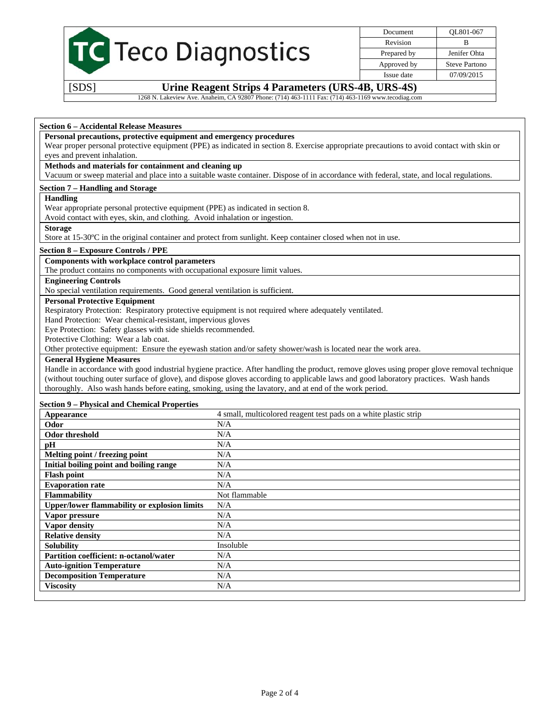

Document QL801-067 Revision B Prepared by Jenifer Ohta Approved by Steve Partono Issue date 07/09/2015

[SDS] **Urine Reagent Strips 4 Parameters (URS-4B, URS-4S)** 

1268 N. Lakeview Ave. Anaheim, CA 92807 Phone: (714) 463-1111 Fax: (714) 463-1169 www.tecodiag.com

#### **Section 6 – Accidental Release Measures**

#### **Personal precautions, protective equipment and emergency procedures**

Wear proper personal protective equipment (PPE) as indicated in section 8. Exercise appropriate precautions to avoid contact with skin or eyes and prevent inhalation.

## **Methods and materials for containment and cleaning up**

Vacuum or sweep material and place into a suitable waste container. Dispose of in accordance with federal, state, and local regulations.

#### **Section 7 – Handling and Storage**

#### **Handling**

Wear appropriate personal protective equipment (PPE) as indicated in section 8.

Avoid contact with eyes, skin, and clothing. Avoid inhalation or ingestion.

#### **Storage**

Store at 15-30ºC in the original container and protect from sunlight. Keep container closed when not in use.

### **Section 8 – Exposure Controls / PPE**

#### **Components with workplace control parameters**

The product contains no components with occupational exposure limit values.

## **Engineering Controls**

No special ventilation requirements. Good general ventilation is sufficient.

#### **Personal Protective Equipment**

Respiratory Protection: Respiratory protective equipment is not required where adequately ventilated.

Hand Protection: Wear chemical-resistant, impervious gloves

Eye Protection: Safety glasses with side shields recommended.

Protective Clothing: Wear a lab coat.

Other protective equipment: Ensure the eyewash station and/or safety shower/wash is located near the work area.

### **General Hygiene Measures**

Handle in accordance with good industrial hygiene practice. After handling the product, remove gloves using proper glove removal technique (without touching outer surface of glove), and dispose gloves according to applicable laws and good laboratory practices. Wash hands thoroughly. Also wash hands before eating, smoking, using the lavatory, and at end of the work period.

#### **Section 9 – Physical and Chemical Properties**

| Appearance                                          | 4 small, multicolored reagent test pads on a white plastic strip |
|-----------------------------------------------------|------------------------------------------------------------------|
| Odor                                                | N/A                                                              |
| <b>Odor threshold</b>                               | N/A                                                              |
| pН                                                  | N/A                                                              |
| Melting point / freezing point                      | N/A                                                              |
| Initial boiling point and boiling range             | N/A                                                              |
| <b>Flash point</b>                                  | N/A                                                              |
| <b>Evaporation rate</b>                             | N/A                                                              |
| <b>Flammability</b>                                 | Not flammable                                                    |
| <b>Upper/lower flammability or explosion limits</b> | N/A                                                              |
| Vapor pressure                                      | N/A                                                              |
| Vapor density                                       | N/A                                                              |
| <b>Relative density</b>                             | N/A                                                              |
| <b>Solubility</b>                                   | Insoluble                                                        |
| Partition coefficient: n-octanol/water              | N/A                                                              |
| <b>Auto-ignition Temperature</b>                    | N/A                                                              |
| <b>Decomposition Temperature</b>                    | N/A                                                              |
| <b>Viscosity</b>                                    | N/A                                                              |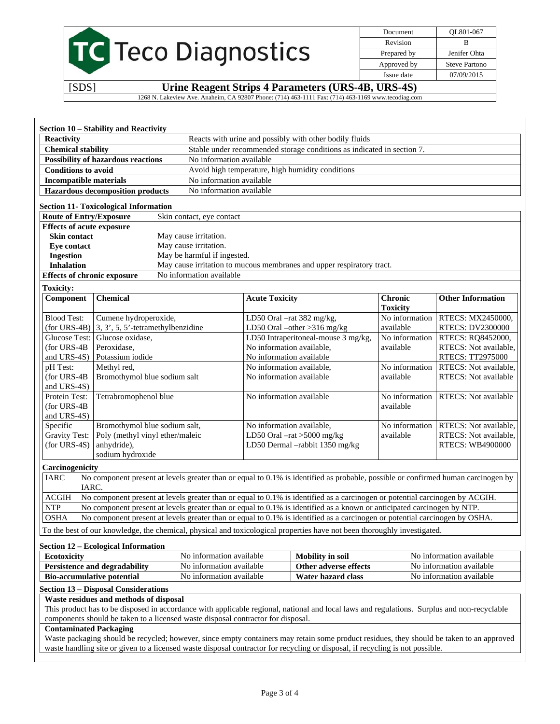|                                       |                                              |                                                      |                                       |                                                                                                                                   | Document                          | QL801-067                              |
|---------------------------------------|----------------------------------------------|------------------------------------------------------|---------------------------------------|-----------------------------------------------------------------------------------------------------------------------------------|-----------------------------------|----------------------------------------|
|                                       |                                              | TC Teco Diagnostics                                  |                                       |                                                                                                                                   | Revision                          | B                                      |
|                                       |                                              |                                                      |                                       |                                                                                                                                   | Prepared by                       | Jenifer Ohta                           |
|                                       |                                              |                                                      |                                       |                                                                                                                                   | Approved by                       | <b>Steve Partono</b>                   |
|                                       |                                              |                                                      |                                       |                                                                                                                                   | Issue date                        | 07/09/2015                             |
| [SDS]                                 |                                              |                                                      |                                       | Urine Reagent Strips 4 Parameters (URS-4B, URS-4S)                                                                                |                                   |                                        |
|                                       |                                              |                                                      |                                       | 1268 N. Lakeview Ave. Anaheim, CA 92807 Phone: (714) 463-1111 Fax: (714) 463-1169 www.tecodiag.com                                |                                   |                                        |
|                                       |                                              |                                                      |                                       |                                                                                                                                   |                                   |                                        |
|                                       |                                              |                                                      |                                       |                                                                                                                                   |                                   |                                        |
|                                       | Section 10 - Stability and Reactivity        |                                                      |                                       |                                                                                                                                   |                                   |                                        |
| <b>Reactivity</b>                     |                                              |                                                      |                                       | Reacts with urine and possibly with other bodily fluids                                                                           |                                   |                                        |
| <b>Chemical stability</b>             |                                              |                                                      |                                       | Stable under recommended storage conditions as indicated in section 7.                                                            |                                   |                                        |
|                                       | <b>Possibility of hazardous reactions</b>    | No information available                             |                                       |                                                                                                                                   |                                   |                                        |
| <b>Conditions to avoid</b>            |                                              |                                                      |                                       | Avoid high temperature, high humidity conditions                                                                                  |                                   |                                        |
| <b>Incompatible materials</b>         |                                              | No information available<br>No information available |                                       |                                                                                                                                   |                                   |                                        |
|                                       | <b>Hazardous decomposition products</b>      |                                                      |                                       |                                                                                                                                   |                                   |                                        |
|                                       | <b>Section 11- Toxicological Information</b> |                                                      |                                       |                                                                                                                                   |                                   |                                        |
| <b>Route of Entry/Exposure</b>        |                                              | Skin contact, eye contact                            |                                       |                                                                                                                                   |                                   |                                        |
| <b>Effects of acute exposure</b>      |                                              |                                                      |                                       |                                                                                                                                   |                                   |                                        |
| <b>Skin contact</b>                   |                                              | May cause irritation.                                |                                       |                                                                                                                                   |                                   |                                        |
| <b>Eye contact</b>                    |                                              | May cause irritation.<br>May be harmful if ingested. |                                       |                                                                                                                                   |                                   |                                        |
| <b>Ingestion</b><br><b>Inhalation</b> |                                              |                                                      |                                       | May cause irritation to mucous membranes and upper respiratory tract.                                                             |                                   |                                        |
| <b>Effects of chronic exposure</b>    |                                              | No information available                             |                                       |                                                                                                                                   |                                   |                                        |
|                                       |                                              |                                                      |                                       |                                                                                                                                   |                                   |                                        |
| <b>Toxicity:</b>                      |                                              |                                                      |                                       |                                                                                                                                   |                                   |                                        |
| Component                             | <b>Chemical</b>                              |                                                      | <b>Acute Toxicity</b>                 |                                                                                                                                   | <b>Chronic</b><br><b>Toxicity</b> | <b>Other Information</b>               |
| <b>Blood Test:</b>                    | Cumene hydroperoxide,                        |                                                      |                                       | LD50 Oral -rat 382 mg/kg,                                                                                                         |                                   | No information RTECS: MX2450000,       |
| $(for URS-4B)$                        | $3, 3', 5, 5'$ -tetramethylbenzidine         |                                                      | LD50 Oral $-\text{other} > 316$ mg/kg |                                                                                                                                   | available                         | RTECS: DV2300000                       |
|                                       | Glucose Test: Glucose oxidase,               |                                                      | LD50 Intraperitoneal-mouse 3 mg/kg,   |                                                                                                                                   | No information                    | RTECS: RQ8452000,                      |
| $(for URS-4B$                         | Peroxidase,                                  |                                                      | No information available,             |                                                                                                                                   | available                         | RTECS: Not available,                  |
| and URS-4S)                           | Potassium iodide                             |                                                      | No information available              |                                                                                                                                   |                                   | RTECS: TT2975000                       |
| pH Test:                              | Methyl red,                                  |                                                      | No information available,             |                                                                                                                                   | No information                    | RTECS: Not available,                  |
| (for URS-4B                           | Bromothymol blue sodium salt                 |                                                      | No information available              |                                                                                                                                   | available                         | <b>RTECS:</b> Not available            |
| and URS-4S)                           |                                              |                                                      |                                       |                                                                                                                                   |                                   |                                        |
| Protein Test:                         | Tetrabromophenol blue                        |                                                      | No information available              |                                                                                                                                   | No information                    | RTECS: Not available                   |
| (for URS-4B<br>and URS-4S)            |                                              |                                                      |                                       |                                                                                                                                   | available                         |                                        |
| Specific                              | Bromothymol blue sodium salt,                |                                                      | No information available,             |                                                                                                                                   |                                   | No information   RTECS: Not available, |
| <b>Gravity Test:</b>                  | Poly (methyl vinyl ether/maleic              |                                                      |                                       | LD50 Oral $-rat > 5000$ mg/kg                                                                                                     | available                         | RTECS: Not available,                  |
| $(for URS-4S)$                        | anhydride),                                  |                                                      |                                       | LD50 Dermal -rabbit 1350 mg/kg                                                                                                    |                                   | RTECS: WB4900000                       |
|                                       | sodium hydroxide                             |                                                      |                                       |                                                                                                                                   |                                   |                                        |
| Carcinogenicity                       |                                              |                                                      |                                       |                                                                                                                                   |                                   |                                        |
| IARC                                  |                                              |                                                      |                                       | No component present at levels greater than or equal to 0.1% is identified as probable, possible or confirmed human carcinogen by |                                   |                                        |
| IARC.                                 |                                              |                                                      |                                       |                                                                                                                                   |                                   |                                        |
| $\rm{ACGIH}$                          |                                              |                                                      |                                       | No component present at levels greater than or equal to 0.1% is identified as a carcinogen or potential carcinogen by ACGIH.      |                                   |                                        |
| <b>NTP</b>                            |                                              |                                                      |                                       | No component present at levels greater than or equal to 0.1% is identified as a known or anticipated carcinogen by NTP.           |                                   |                                        |
| <b>OSHA</b>                           |                                              |                                                      |                                       | No component present at levels greater than or equal to 0.1% is identified as a carcinogen or potential carcinogen by OSHA.       |                                   |                                        |
|                                       |                                              |                                                      |                                       | To the best of our knowledge, the chemical, physical and toxicological properties have not been thoroughly investigated.          |                                   |                                        |
|                                       |                                              |                                                      |                                       |                                                                                                                                   |                                   |                                        |
| <b>Ecotoxicity</b>                    | <b>Section 12 – Ecological Information</b>   | No information available                             |                                       | <b>Mobility</b> in soil                                                                                                           |                                   | No information available               |
|                                       | Persistence and degradability                | No information available                             |                                       | Other adverse effects                                                                                                             |                                   | No information available               |
|                                       | <b>Bio-accumulative potential</b>            | No information available                             |                                       | Water hazard class                                                                                                                |                                   | No information available               |

## **Section 13 – Disposal Considerations**

## **Waste residues and methods of disposal**

This product has to be disposed in accordance with applicable regional, national and local laws and regulations. Surplus and non-recyclable components should be taken to a licensed waste disposal contractor for disposal.

### **Contaminated Packaging**

Waste packaging should be recycled; however, since empty containers may retain some product residues, they should be taken to an approved waste handling site or given to a licensed waste disposal contractor for recycling or disposal, if recycling is not possible.